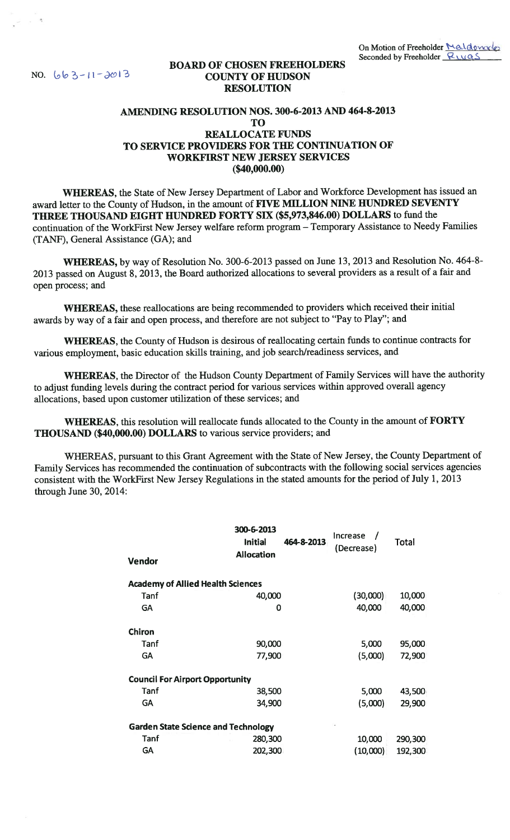## BOARD OF CHOSEN FREEHOLDERS **BOARD OF CHOSEN FREEHO**<br> **NO.** 663-11-2013<br> **COUNTY OF HUDSON** RESOLUTION

## AMENDING RESOLUTION NOS. 300-6-2013 AND 464-8-2013 TO REALLOCATE FUNDS TO SERVICE PROVIDERS FOR THE CONTINUATION OF WORKFIRST NEW JERSEY SERVICES (\$40,000.00)

WHEREAS, the State of New Jersey Department of Labor and Workforce Development has issued an award letter to the County of Hudson, in the amount of FIVE MILLION NINE HUNDRED SEVENTY THREE THOUSAND EIGHT HUNDRED FORTY SIX (\$5,973,846.00) DOLLARS to fund the continuation of the WorkFirst New Jersey welfare reform program — Temporary Assistance to Needy Families (TANF), General Assistance (GA); and

WHEREAS, by way of Resolution No. 300-6-2013 passed on June 13, 2013 and Resolution No. 464-8-2013 passed on August 8, 2013, the Board authorized allocations to several providers as a result of a fair and open process; and

WHEREAS, these reallocations are being recommended to providers which received their initial awards by way of a fair and open process, and therefore are not subject to "Pay to Play"; and

WhEREAS, the County of Hudson is desirous of reallocating certain funds to continue contracts for various employment, basic education skills training, and job search/readiness services, and

WhEREAS, the Director of the Hudson County Department of Family Services will have the authority to adjust funding levels during the contract period for various services within approved overall agency allocations, based upon customer utilization of these services; and

WHEREAS, this resolution will reallocate funds allocated to the County in the amount of FORTY THOUSAND (\$40,000.00) DOLLARS to various service providers; and

WHEREAS, pursuant to this Grant Agreement with the State of New Jersey, the County Department of Family Services has recommended the continuation of subcontracts with the following social services agencies consistent with the WorkFirst New Jersey Regulations in the stated amounts for the period of July 1, 2013 through June 30, 2014:

| <b>Vendor</b>                              | 300-6-2013<br><b>Initial</b><br><b>Allocation</b> | 464-8-2013 | Increase<br>(Decrease) | Total   |
|--------------------------------------------|---------------------------------------------------|------------|------------------------|---------|
|                                            |                                                   |            |                        |         |
| <b>Academy of Allied Health Sciences</b>   |                                                   |            |                        |         |
| Tanf                                       | 40,000                                            |            | (30,000)               | 10,000  |
| GA                                         | 0                                                 |            | 40,000                 | 40,000  |
|                                            |                                                   |            |                        |         |
| Chiron                                     |                                                   |            |                        |         |
| Tanf                                       | 90,000                                            |            | 5,000                  | 95,000  |
| <b>GA</b>                                  | 77,900                                            |            | (5,000)                | 72,900  |
|                                            |                                                   |            |                        |         |
| <b>Council For Airport Opportunity</b>     |                                                   |            |                        |         |
| Tanf                                       | 38,500                                            |            | 5,000                  | 43,500  |
| <b>GA</b>                                  | 34,900                                            |            | (5,000)                | 29,900  |
|                                            |                                                   |            |                        |         |
| <b>Garden State Science and Technology</b> |                                                   |            |                        |         |
| Tanf                                       | 280,300                                           |            | 10,000                 | 290,300 |
| <b>GA</b>                                  | 202,300                                           |            | (10,000)               | 192,300 |
|                                            |                                                   |            |                        |         |